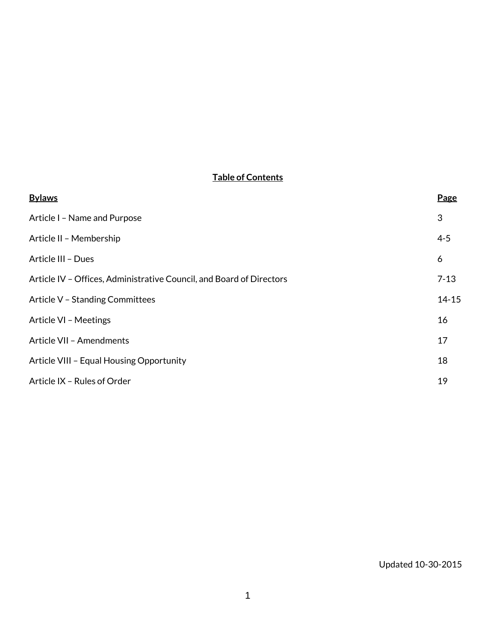# **Table of Contents**

| <b>Bylaws</b>                                                        | Page      |
|----------------------------------------------------------------------|-----------|
| Article I - Name and Purpose                                         | 3         |
| Article II - Membership                                              | $4 - 5$   |
| Article III - Dues                                                   | 6         |
| Article IV - Offices, Administrative Council, and Board of Directors | $7 - 13$  |
| <b>Article V - Standing Committees</b>                               | $14 - 15$ |
| Article VI - Meetings                                                | 16        |
| Article VII - Amendments                                             | 17        |
| Article VIII - Equal Housing Opportunity                             | 18        |
| Article IX - Rules of Order                                          | 19        |

Updated 10-30-2015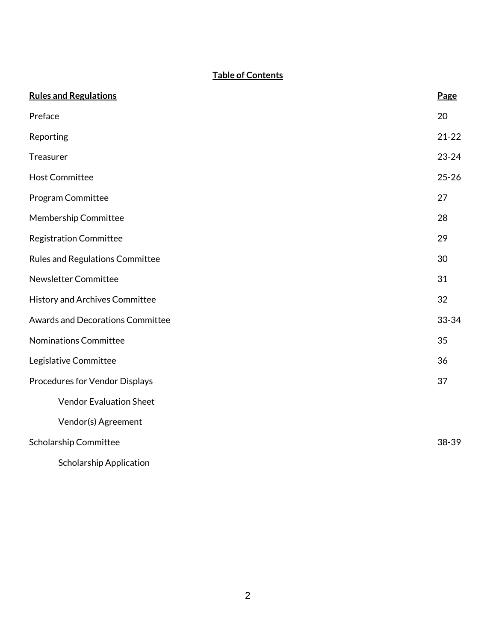# **Table of Contents**

| <b>Rules and Regulations</b>            | Page      |
|-----------------------------------------|-----------|
| Preface                                 | 20        |
| Reporting                               | $21 - 22$ |
| Treasurer                               | $23 - 24$ |
| <b>Host Committee</b>                   | $25 - 26$ |
| Program Committee                       | 27        |
| Membership Committee                    | 28        |
| <b>Registration Committee</b>           | 29        |
| Rules and Regulations Committee         | 30        |
| <b>Newsletter Committee</b>             | 31        |
| <b>History and Archives Committee</b>   | 32        |
| <b>Awards and Decorations Committee</b> | 33-34     |
| <b>Nominations Committee</b>            | 35        |
| Legislative Committee                   | 36        |
| Procedures for Vendor Displays          | 37        |
| <b>Vendor Evaluation Sheet</b>          |           |
| Vendor(s) Agreement                     |           |
| <b>Scholarship Committee</b>            | 38-39     |
| <b>Scholarship Application</b>          |           |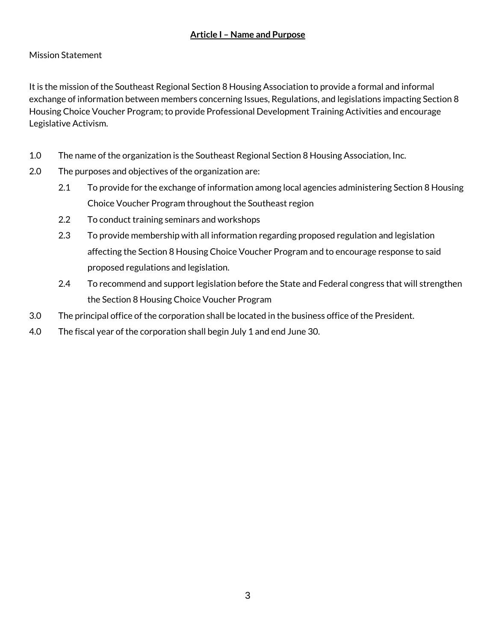### **Article I – Name and Purpose**

### Mission Statement

It is the mission of the Southeast Regional Section 8 Housing Association to provide a formal and informal exchange of information between members concerning Issues, Regulations, and legislations impacting Section 8 Housing Choice Voucher Program; to provide Professional Development Training Activities and encourage Legislative Activism.

- 1.0 The name of the organization is the Southeast Regional Section 8 Housing Association, Inc.
- 2.0 The purposes and objectives of the organization are:
	- 2.1 To provide for the exchange of information among local agencies administering Section 8 Housing Choice Voucher Program throughout the Southeast region
	- 2.2 To conduct training seminars and workshops
	- 2.3 To provide membership with all information regarding proposed regulation and legislation affecting the Section 8 Housing Choice Voucher Program and to encourage response to said proposed regulations and legislation.
	- 2.4 To recommend and support legislation before the State and Federal congress that will strengthen the Section 8 Housing Choice Voucher Program
- 3.0 The principal office of the corporation shall be located in the business office of the President.
- 4.0 The fiscal year of the corporation shall begin July 1 and end June 30.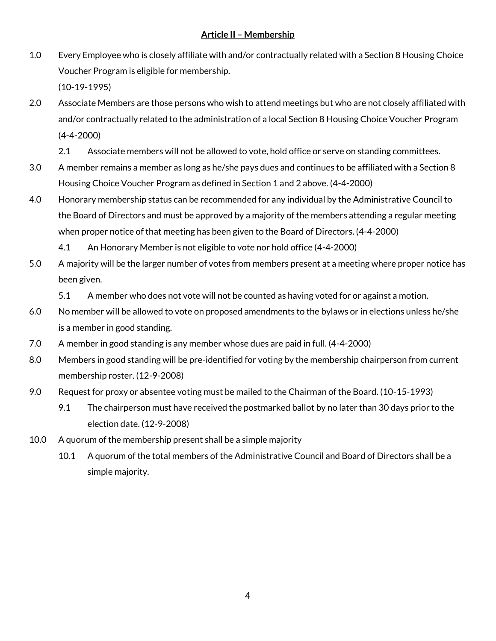#### **Article II – Membership**

- 1.0 Every Employee who is closely affiliate with and/or contractually related with a Section 8 Housing Choice Voucher Program is eligible for membership. (10-19-1995)
- 2.0 Associate Members are those persons who wish to attend meetings but who are not closely affiliated with and/or contractually related to the administration of a local Section 8 Housing Choice Voucher Program (4-4-2000)
	- 2.1 Associate members will not be allowed to vote, hold office or serve on standing committees.
- 3.0 A member remains a member as long as he/she pays dues and continues to be affiliated with a Section 8 Housing Choice Voucher Program as defined in Section 1 and 2 above. (4-4-2000)
- 4.0 Honorary membership status can be recommended for any individual by the Administrative Council to the Board of Directors and must be approved by a majority of the members attending a regular meeting when proper notice of that meeting has been given to the Board of Directors. (4-4-2000)
	- 4.1 An Honorary Member is not eligible to vote nor hold office (4-4-2000)
- 5.0 A majority will be the larger number of votes from members present at a meeting where proper notice has been given.

5.1 A member who does not vote will not be counted as having voted for or against a motion.

- 6.0 No member will be allowed to vote on proposed amendments to the bylaws or in elections unless he/she is a member in good standing.
- 7.0 A member in good standing is any member whose dues are paid in full. (4-4-2000)
- 8.0 Members in good standing will be pre-identified for voting by the membership chairperson from current membership roster. (12-9-2008)
- 9.0 Request for proxy or absentee voting must be mailed to the Chairman of the Board. (10-15-1993)
	- 9.1 The chairperson must have received the postmarked ballot by no later than 30 days prior to the election date. (12-9-2008)
- 10.0 A quorum of the membership present shall be a simple majority
	- 10.1 A quorum of the total members of the Administrative Council and Board of Directors shall be a simple majority.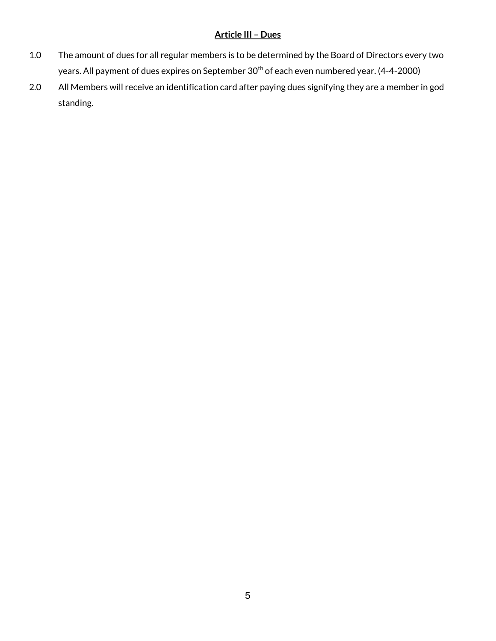### **Article III – Dues**

- 1.0 The amount of dues for all regular members is to be determined by the Board of Directors every two years. All payment of dues expires on September 30<sup>th</sup> of each even numbered year. (4-4-2000)
- 2.0 All Members will receive an identification card after paying dues signifying they are a member in god standing.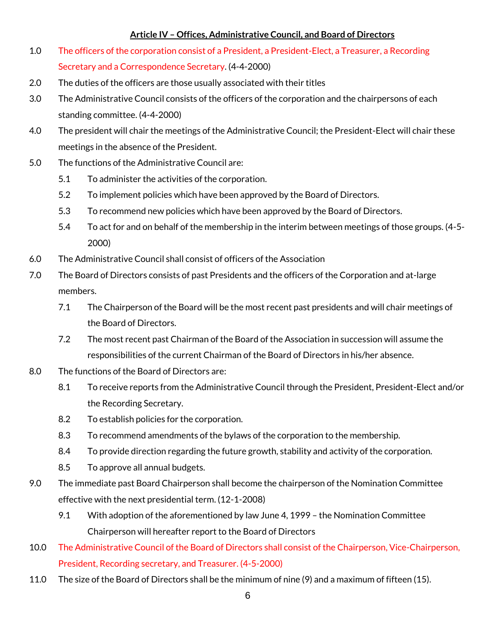#### **Article IV – Offices, Administrative Council, and Board of Directors**

- 1.0 The officers of the corporation consist of a President, a President-Elect, a Treasurer, a Recording Secretary and a Correspondence Secretary. (4-4-2000)
- 2.0 The duties of the officers are those usually associated with their titles
- 3.0 The Administrative Council consists of the officers of the corporation and the chairpersons of each standing committee. (4-4-2000)
- 4.0 The president will chair the meetings of the Administrative Council; the President-Elect will chair these meetings in the absence of the President.
- 5.0 The functions of the Administrative Council are:
	- 5.1 To administer the activities of the corporation.
	- 5.2 To implement policies which have been approved by the Board of Directors.
	- 5.3 To recommend new policies which have been approved by the Board of Directors.
	- 5.4 To act for and on behalf of the membership in the interim between meetings of those groups. (4-5- 2000)
- 6.0 The Administrative Council shall consist of officers of the Association
- 7.0 The Board of Directors consists of past Presidents and the officers of the Corporation and at-large members.
	- 7.1 The Chairperson of the Board will be the most recent past presidents and will chair meetings of the Board of Directors.
	- 7.2 The most recent past Chairman of the Board of the Association in succession will assume the responsibilities of the current Chairman of the Board of Directors in his/her absence.
- 8.0 The functions of the Board of Directors are:
	- 8.1 To receive reports from the Administrative Council through the President, President-Elect and/or the Recording Secretary.
	- 8.2 To establish policies for the corporation.
	- 8.3 To recommend amendments of the bylaws of the corporation to the membership.
	- 8.4 To provide direction regarding the future growth, stability and activity of the corporation.
	- 8.5 To approve all annual budgets.
- 9.0 The immediate past Board Chairperson shall become the chairperson of the Nomination Committee effective with the next presidential term. (12-1-2008)
	- 9.1 With adoption of the aforementioned by law June 4, 1999 the Nomination Committee Chairperson will hereafter report to the Board of Directors
- 10.0 The Administrative Council of the Board of Directors shall consist of the Chairperson, Vice-Chairperson, President, Recording secretary, and Treasurer. (4-5-2000)
- 11.0 The size of the Board of Directors shall be the minimum of nine (9) and a maximum of fifteen (15).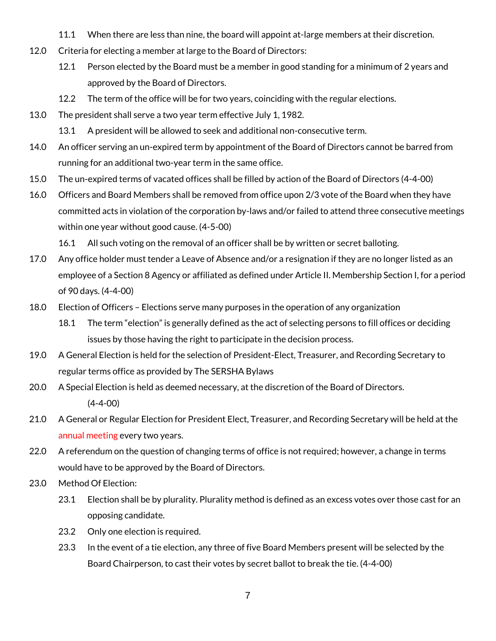- 11.1 When there are less than nine, the board will appoint at-large members at their discretion.
- 12.0 Criteria for electing a member at large to the Board of Directors:
	- 12.1 Person elected by the Board must be a member in good standing for a minimum of 2 years and approved by the Board of Directors.
	- 12.2 The term of the office will be for two years, coinciding with the regular elections.
- 13.0 The president shall serve a two year term effective July 1, 1982.
	- 13.1 A president will be allowed to seek and additional non-consecutive term.
- 14.0 An officer serving an un-expired term by appointment of the Board of Directors cannot be barred from running for an additional two-year term in the same office.
- 15.0 The un-expired terms of vacated offices shall be filled by action of the Board of Directors (4-4-00)
- 16.0 Officers and Board Members shall be removed from office upon 2/3 vote of the Board when they have committed acts in violation of the corporation by-laws and/or failed to attend three consecutive meetings within one year without good cause. (4-5-00)

16.1 All such voting on the removal of an officer shall be by written or secret balloting.

- 17.0 Any office holder must tender a Leave of Absence and/or a resignation if they are no longer listed as an employee of a Section 8 Agency or affiliated as defined under Article II. Membership Section I, for a period of 90 days. (4-4-00)
- 18.0 Election of Officers Elections serve many purposes in the operation of any organization
	- 18.1 The term "election" is generally defined as the act of selecting persons to fill offices or deciding issues by those having the right to participate in the decision process.
- 19.0 A General Election is held for the selection of President-Elect, Treasurer, and Recording Secretary to regular terms office as provided by The SERSHA Bylaws
- 20.0 A Special Election is held as deemed necessary, at the discretion of the Board of Directors. (4-4-00)
- 21.0 A General or Regular Election for President Elect, Treasurer, and Recording Secretary will be held at the annual meeting every two years.
- 22.0 A referendum on the question of changing terms of office is not required; however, a change in terms would have to be approved by the Board of Directors.
- 23.0 Method Of Election:
	- 23.1 Election shall be by plurality. Plurality method is defined as an excess votes over those cast for an opposing candidate.
	- 23.2 Only one election is required.
	- 23.3 In the event of a tie election, any three of five Board Members present will be selected by the Board Chairperson, to cast their votes by secret ballot to break the tie. (4-4-00)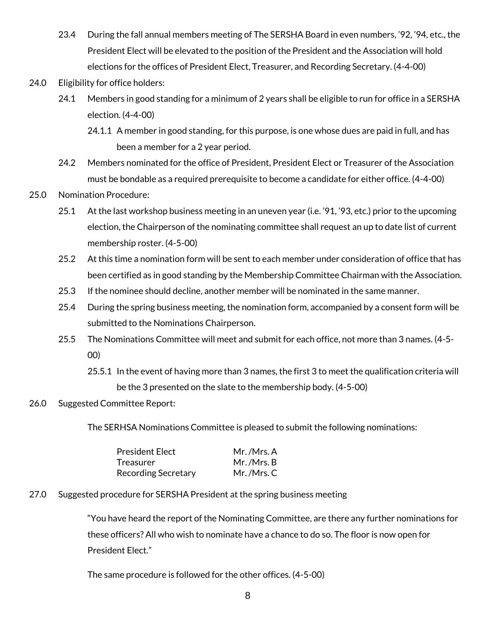- 23.4 During the fall annual members meeting of The SERSHA Board in even numbers, '92, '94, etc., the President Elect will be elevated to the position of the President and the Association will hold elections for the offices of President Elect, Treasurer, and Recording Secretary. (4-4-00)
- 24.0 Eligibility for office holders:
	- 24.1 Members in good standing for a minimum of 2 years shall be eligible to run for office in a SERSHA election. (4-4-00)
		- 24.1.1 A member in good standing, for this purpose, is one whose dues are paid in full, and has been a member for a 2 year period.
	- 24.2 Members nominated for the office of President, President Elect or Treasurer of the Association must be bondable as a required prerequisite to become a candidate for either office. (4-4-00)
- 25.0 Nomination Procedure:
	- 25.1 At the last workshop business meeting in an uneven year (i.e. '91, '93, etc.) prior to the upcoming election, the Chairperson of the nominating committee shall request an up to date list of current membership roster. (4-5-00)
	- 25.2 At this time a nomination form will be sent to each member under consideration of office that has been certified as in good standing by the Membership Committee Chairman with the Association.
	- 25.3 If the nominee should decline, another member will be nominated in the same manner.
	- 25.4 During the spring business meeting, the nomination form, accompanied by a consent form will be submitted to the Nominations Chairperson.
	- 25.5 The Nominations Committee will meet and submit for each office, not more than 3 names. (4-5- 00)
		- 25.5.1 In the event of having more than 3 names, the first 3 to meet the qualification criteria will be the 3 presented on the slate to the membership body. (4-5-00)
- 26.0 Suggested Committee Report:

The SERHSA Nominations Committee is pleased to submit the following nominations:

| <b>President Elect</b> | Mr./Mrs.A |
|------------------------|-----------|
| Treasurer              | Mr./Mrs.B |
| Recording Secretary    | Mr./Mrs.C |

27.0 Suggested procedure for SERSHA President at the spring business meeting

"You have heard the report of the Nominating Committee, are there any further nominations for these officers? All who wish to nominate have a chance to do so. The floor is now open for President Elect."

The same procedure is followed for the other offices. (4-5-00)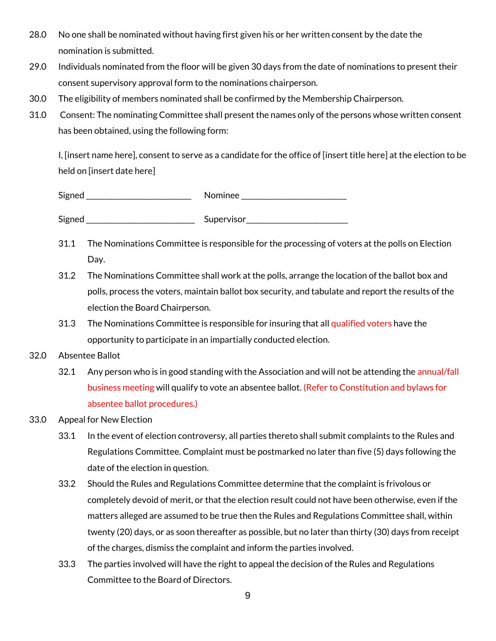- 28.0 No one shall be nominated without having first given his or her written consent by the date the nomination is submitted.
- 29.0 Individuals nominated from the floor will be given 30 days from the date of nominations to present their consent supervisory approval form to the nominations chairperson.
- 30.0 The eligibility of members nominated shall be confirmed by the Membership Chairperson.
- 31.0 Consent: The nominating Committee shall present the names only of the persons whose written consent has been obtained, using the following form:

I, [insert name here], consent to serve as a candidate for the office of [insert title here] at the election to be held on [insert date here]

| Signed | Nominee    |  |
|--------|------------|--|
|        |            |  |
| Signed | Supervisor |  |

- 31.1 The Nominations Committee is responsible for the processing of voters at the polls on Election Day.
- 31.2 The Nominations Committee shall work at the polls, arrange the location of the ballot box and polls, process the voters, maintain ballot box security, and tabulate and report the results of the election the Board Chairperson.
- 31.3 The Nominations Committee is responsible for insuring that all qualified voters have the opportunity to participate in an impartially conducted election.

### 32.0 Absentee Ballot

32.1 Any person who is in good standing with the Association and will not be attending the annual/fall business meeting will qualify to vote an absentee ballot. (Refer to Constitution and bylaws for absentee ballot procedures.)

#### 33.0 Appeal for New Election

- 33.1 In the event of election controversy, all parties thereto shall submit complaints to the Rules and Regulations Committee. Complaint must be postmarked no later than five (5) days following the date of the election in question.
- 33.2 Should the Rules and Regulations Committee determine that the complaint is frivolous or completely devoid of merit, or that the election result could not have been otherwise, even if the matters alleged are assumed to be true then the Rules and Regulations Committee shall, within twenty (20) days, or as soon thereafter as possible, but no later than thirty (30) days from receipt of the charges, dismiss the complaint and inform the parties involved.
- 33.3 The parties involved will have the right to appeal the decision of the Rules and Regulations Committee to the Board of Directors.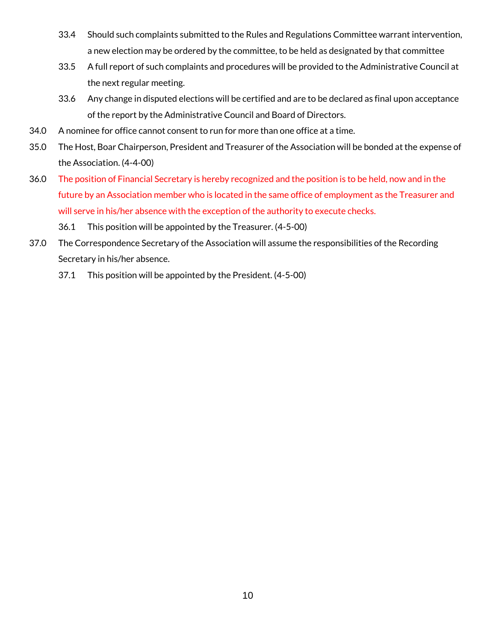- 33.4 Should such complaints submitted to the Rules and Regulations Committee warrant intervention, a new election may be ordered by the committee, to be held as designated by that committee
- 33.5 A full report of such complaints and procedures will be provided to the Administrative Council at the next regular meeting.
- 33.6 Any change in disputed elections will be certified and are to be declared as final upon acceptance of the report by the Administrative Council and Board of Directors.
- 34.0 A nominee for office cannot consent to run for more than one office at a time.
- 35.0 The Host, Boar Chairperson, President and Treasurer of the Association will be bonded at the expense of the Association. (4-4-00)
- 36.0 The position of Financial Secretary is hereby recognized and the position is to be held, now and in the future by an Association member who is located in the same office of employment as the Treasurer and will serve in his/her absence with the exception of the authority to execute checks.
	- 36.1 This position will be appointed by the Treasurer. (4-5-00)
- 37.0 The Correspondence Secretary of the Association will assume the responsibilities of the Recording Secretary in his/her absence.
	- 37.1 This position will be appointed by the President. (4-5-00)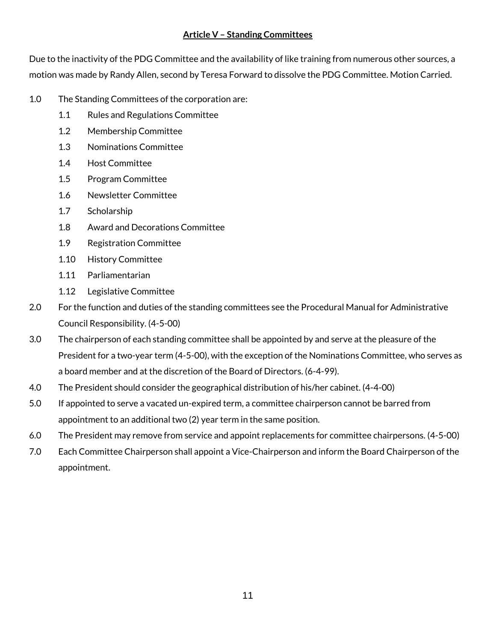# **Article V – Standing Committees**

Due to the inactivity of the PDG Committee and the availability of like training from numerous other sources, a motion was made by Randy Allen, second by Teresa Forward to dissolve the PDG Committee. Motion Carried.

- 1.0 The Standing Committees of the corporation are:
	- 1.1 Rules and Regulations Committee
	- 1.2 Membership Committee
	- 1.3 Nominations Committee
	- 1.4 Host Committee
	- 1.5 Program Committee
	- 1.6 Newsletter Committee
	- 1.7 Scholarship
	- 1.8 Award and Decorations Committee
	- 1.9 Registration Committee
	- 1.10 History Committee
	- 1.11 Parliamentarian
	- 1.12 Legislative Committee
- 2.0 For the function and duties of the standing committees see the Procedural Manual for Administrative Council Responsibility. (4-5-00)
- 3.0 The chairperson of each standing committee shall be appointed by and serve at the pleasure of the President for a two-year term (4-5-00), with the exception of the Nominations Committee, who serves as a board member and at the discretion of the Board of Directors. (6-4-99).
- 4.0 The President should consider the geographical distribution of his/her cabinet. (4-4-00)
- 5.0 If appointed to serve a vacated un-expired term, a committee chairperson cannot be barred from appointment to an additional two (2) year term in the same position.
- 6.0 The President may remove from service and appoint replacements for committee chairpersons. (4-5-00)
- 7.0 Each Committee Chairperson shall appoint a Vice-Chairperson and inform the Board Chairperson of the appointment.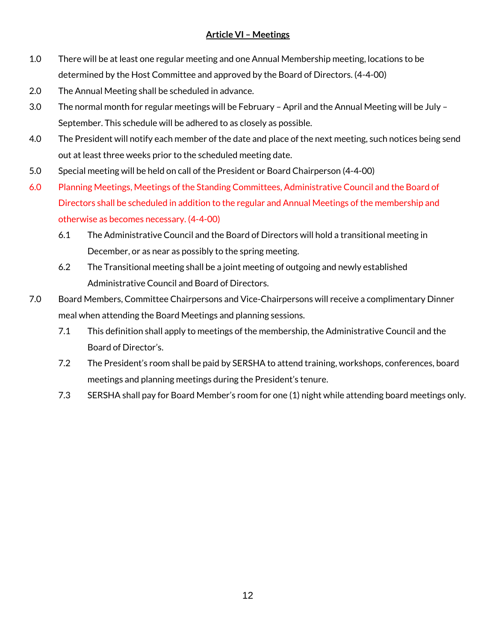# **Article VI – Meetings**

- 1.0 There will be at least one regular meeting and one Annual Membership meeting, locations to be determined by the Host Committee and approved by the Board of Directors. (4-4-00)
- 2.0 The Annual Meeting shall be scheduled in advance.
- 3.0 The normal month for regular meetings will be February April and the Annual Meeting will be July September. This schedule will be adhered to as closely as possible.
- 4.0 The President will notify each member of the date and place of the next meeting, such notices being send out at least three weeks prior to the scheduled meeting date.
- 5.0 Special meeting will be held on call of the President or Board Chairperson (4-4-00)
- 6.0 Planning Meetings, Meetings of the Standing Committees, Administrative Council and the Board of Directors shall be scheduled in addition to the regular and Annual Meetings of the membership and otherwise as becomes necessary. (4-4-00)
	- 6.1 The Administrative Council and the Board of Directors will hold a transitional meeting in December, or as near as possibly to the spring meeting.
	- 6.2 The Transitional meeting shall be a joint meeting of outgoing and newly established Administrative Council and Board of Directors.
- 7.0 Board Members, Committee Chairpersons and Vice-Chairpersons will receive a complimentary Dinner meal when attending the Board Meetings and planning sessions.
	- 7.1 This definition shall apply to meetings of the membership, the Administrative Council and the Board of Director's.
	- 7.2 The President's room shall be paid by SERSHA to attend training, workshops, conferences, board meetings and planning meetings during the President's tenure.
	- 7.3 SERSHA shall pay for Board Member's room for one (1) night while attending board meetings only.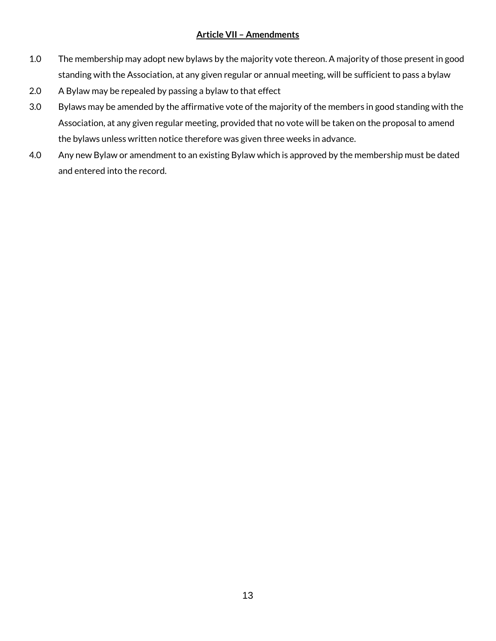### **Article VII – Amendments**

- 1.0 The membership may adopt new bylaws by the majority vote thereon. A majority of those present in good standing with the Association, at any given regular or annual meeting, will be sufficient to pass a bylaw
- 2.0 A Bylaw may be repealed by passing a bylaw to that effect
- 3.0 Bylaws may be amended by the affirmative vote of the majority of the members in good standing with the Association, at any given regular meeting, provided that no vote will be taken on the proposal to amend the bylaws unless written notice therefore was given three weeks in advance.
- 4.0 Any new Bylaw or amendment to an existing Bylaw which is approved by the membership must be dated and entered into the record.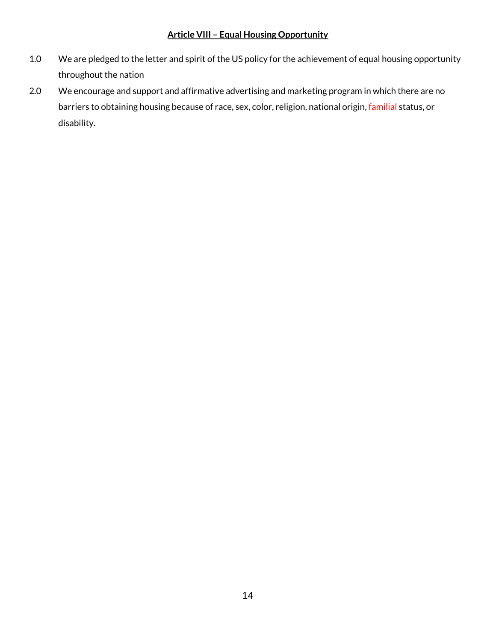#### **Article VIII – Equal Housing Opportunity**

- 1.0 We are pledged to the letter and spirit of the US policy for the achievement of equal housing opportunity throughout the nation
- 2.0 We encourage and support and affirmative advertising and marketing program in which there are no barriers to obtaining housing because of race, sex, color, religion, national origin, familial status, or disability.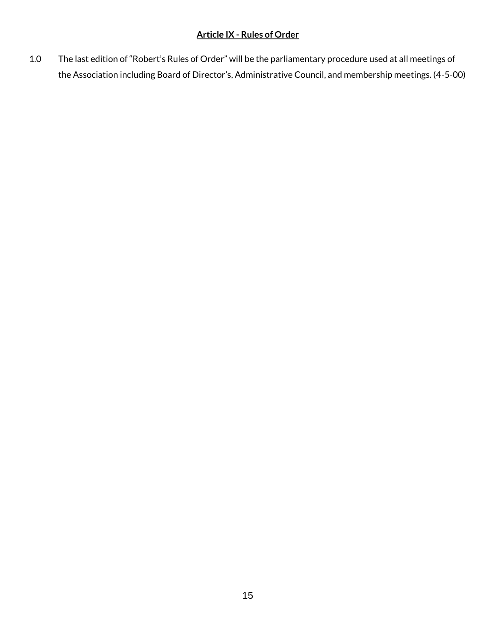# **Article IX - Rules of Order**

1.0 The last edition of "Robert's Rules of Order" will be the parliamentary procedure used at all meetings of the Association including Board of Director's, Administrative Council, and membership meetings. (4-5-00)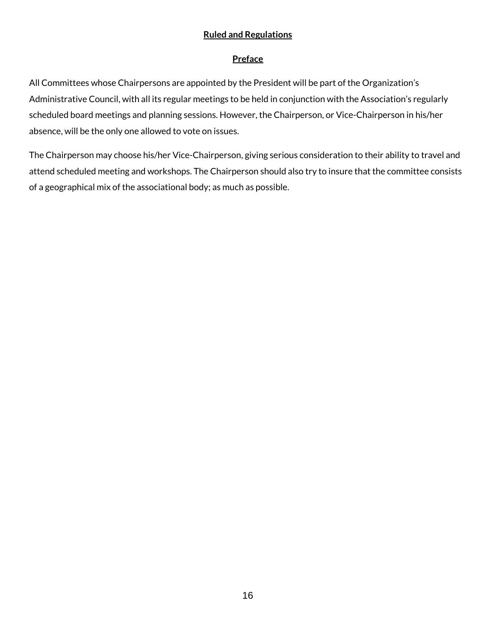#### **Ruled and Regulations**

### **Preface**

All Committees whose Chairpersons are appointed by the President will be part of the Organization's Administrative Council, with all its regular meetings to be held in conjunction with the Association's regularly scheduled board meetings and planning sessions. However, the Chairperson, or Vice-Chairperson in his/her absence, will be the only one allowed to vote on issues.

The Chairperson may choose his/her Vice-Chairperson, giving serious consideration to their ability to travel and attend scheduled meeting and workshops. The Chairperson should also try to insure that the committee consists of a geographical mix of the associational body; as much as possible.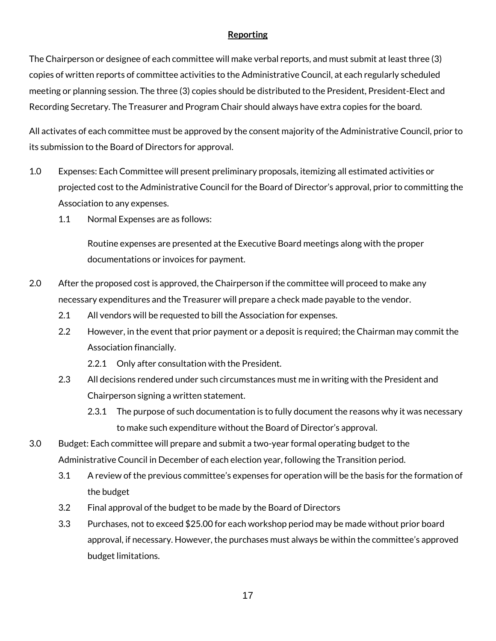### **Reporting**

The Chairperson or designee of each committee will make verbal reports, and must submit at least three (3) copies of written reports of committee activities to the Administrative Council, at each regularly scheduled meeting or planning session. The three (3) copies should be distributed to the President, President-Elect and Recording Secretary. The Treasurer and Program Chair should always have extra copies for the board.

All activates of each committee must be approved by the consent majority of the Administrative Council, prior to its submission to the Board of Directors for approval.

- 1.0 Expenses: Each Committee will present preliminary proposals, itemizing all estimated activities or projected cost to the Administrative Council for the Board of Director's approval, prior to committing the Association to any expenses.
	- 1.1 Normal Expenses are as follows:

Routine expenses are presented at the Executive Board meetings along with the proper documentations or invoices for payment.

- 2.0 After the proposed cost is approved, the Chairperson if the committee will proceed to make any necessary expenditures and the Treasurer will prepare a check made payable to the vendor.
	- 2.1 All vendors will be requested to bill the Association for expenses.
	- 2.2 However, in the event that prior payment or a deposit is required; the Chairman may commit the Association financially.
		- 2.2.1 Only after consultation with the President.
	- 2.3 All decisions rendered under such circumstances must me in writing with the President and Chairperson signing a written statement.
		- 2.3.1 The purpose of such documentation is to fully document the reasons why it was necessary to make such expenditure without the Board of Director's approval.
- 3.0 Budget: Each committee will prepare and submit a two-year formal operating budget to the Administrative Council in December of each election year, following the Transition period.
	- 3.1 A review of the previous committee's expenses for operation will be the basis for the formation of the budget
	- 3.2 Final approval of the budget to be made by the Board of Directors
	- 3.3 Purchases, not to exceed \$25.00 for each workshop period may be made without prior board approval, if necessary. However, the purchases must always be within the committee's approved budget limitations.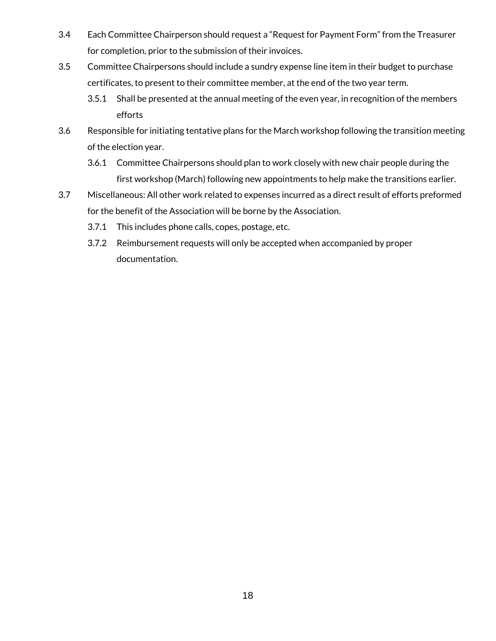- 3.4 Each Committee Chairperson should request a "Request for Payment Form" from the Treasurer for completion, prior to the submission of their invoices.
- 3.5 Committee Chairpersons should include a sundry expense line item in their budget to purchase certificates, to present to their committee member, at the end of the two year term.
	- 3.5.1 Shall be presented at the annual meeting of the even year, in recognition of the members efforts
- 3.6 Responsible for initiating tentative plans for the March workshop following the transition meeting of the election year.
	- 3.6.1 Committee Chairpersons should plan to work closely with new chair people during the first workshop (March) following new appointments to help make the transitions earlier.
- 3.7 Miscellaneous: All other work related to expenses incurred as a direct result of efforts preformed for the benefit of the Association will be borne by the Association.
	- 3.7.1 This includes phone calls, copes, postage, etc.
	- 3.7.2 Reimbursement requests will only be accepted when accompanied by proper documentation.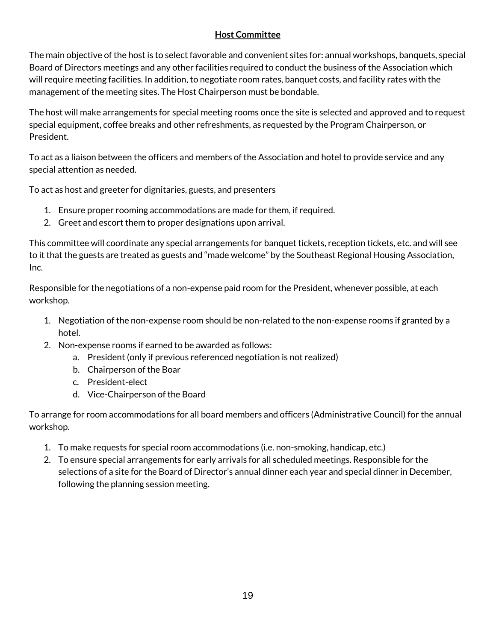# **Host Committee**

The main objective of the host is to select favorable and convenient sites for: annual workshops, banquets, special Board of Directors meetings and any other facilities required to conduct the business of the Association which will require meeting facilities. In addition, to negotiate room rates, banquet costs, and facility rates with the management of the meeting sites. The Host Chairperson must be bondable.

The host will make arrangements for special meeting rooms once the site is selected and approved and to request special equipment, coffee breaks and other refreshments, as requested by the Program Chairperson, or President.

To act as a liaison between the officers and members of the Association and hotel to provide service and any special attention as needed.

To act as host and greeter for dignitaries, guests, and presenters

- 1. Ensure proper rooming accommodations are made for them, if required.
- 2. Greet and escort them to proper designations upon arrival.

This committee will coordinate any special arrangements for banquet tickets, reception tickets, etc. and will see to it that the guests are treated as guests and "made welcome" by the Southeast Regional Housing Association, Inc.

Responsible for the negotiations of a non-expense paid room for the President, whenever possible, at each workshop.

- 1. Negotiation of the non-expense room should be non-related to the non-expense rooms if granted by a hotel.
- 2. Non-expense rooms if earned to be awarded as follows:
	- a. President (only if previous referenced negotiation is not realized)
	- b. Chairperson of the Boar
	- c. President-elect
	- d. Vice-Chairperson of the Board

To arrange for room accommodations for all board members and officers (Administrative Council) for the annual workshop.

- 1. To make requests for special room accommodations (i.e. non-smoking, handicap, etc.)
- 2. To ensure special arrangements for early arrivals for all scheduled meetings. Responsible for the selections of a site for the Board of Director's annual dinner each year and special dinner in December, following the planning session meeting.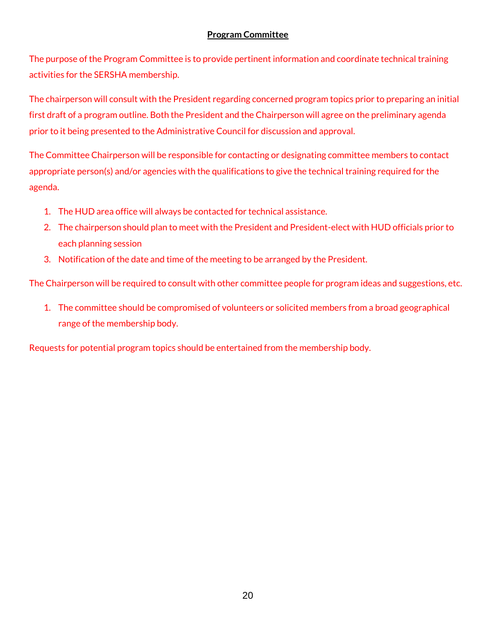### **Program Committee**

The purpose of the Program Committee is to provide pertinent information and coordinate technical training activities for the SERSHA membership.

The chairperson will consult with the President regarding concerned program topics prior to preparing an initial first draft of a program outline. Both the President and the Chairperson will agree on the preliminary agenda prior to it being presented to the Administrative Council for discussion and approval.

The Committee Chairperson will be responsible for contacting or designating committee members to contact appropriate person(s) and/or agencies with the qualifications to give the technical training required for the agenda.

- 1. The HUD area office will always be contacted for technical assistance.
- 2. The chairperson should plan to meet with the President and President-elect with HUD officials prior to each planning session
- 3. Notification of the date and time of the meeting to be arranged by the President.

The Chairperson will be required to consult with other committee people for program ideas and suggestions, etc.

1. The committee should be compromised of volunteers or solicited members from a broad geographical range of the membership body.

Requests for potential program topics should be entertained from the membership body.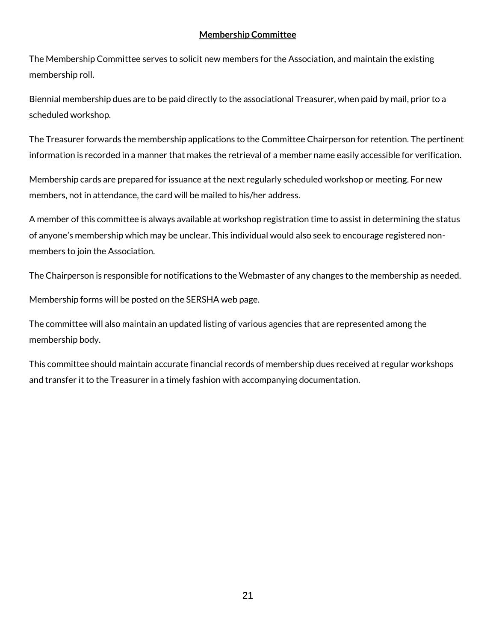#### **Membership Committee**

The Membership Committee serves to solicit new members for the Association, and maintain the existing membership roll.

Biennial membership dues are to be paid directly to the associational Treasurer, when paid by mail, prior to a scheduled workshop.

The Treasurer forwards the membership applications to the Committee Chairperson for retention. The pertinent information is recorded in a manner that makes the retrieval of a member name easily accessible for verification.

Membership cards are prepared for issuance at the next regularly scheduled workshop or meeting. For new members, not in attendance, the card will be mailed to his/her address.

A member of this committee is always available at workshop registration time to assist in determining the status of anyone's membership which may be unclear. This individual would also seek to encourage registered nonmembers to join the Association.

The Chairperson is responsible for notifications to the Webmaster of any changes to the membership as needed.

Membership forms will be posted on the SERSHA web page.

The committee will also maintain an updated listing of various agencies that are represented among the membership body.

This committee should maintain accurate financial records of membership dues received at regular workshops and transfer it to the Treasurer in a timely fashion with accompanying documentation.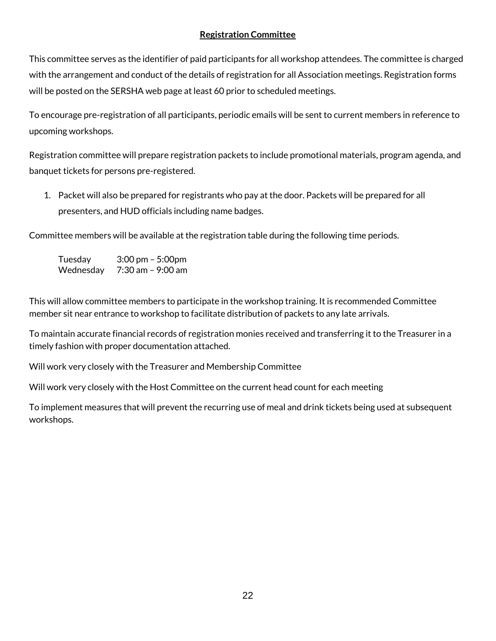### **Registration Committee**

This committee serves as the identifier of paid participants for all workshop attendees. The committee is charged with the arrangement and conduct of the details of registration for all Association meetings. Registration forms will be posted on the SERSHA web page at least 60 prior to scheduled meetings.

To encourage pre-registration of all participants, periodic emails will be sent to current members in reference to upcoming workshops.

Registration committee will prepare registration packets to include promotional materials, program agenda, and banquet tickets for persons pre-registered.

1. Packet will also be prepared for registrants who pay at the door. Packets will be prepared for all presenters, and HUD officials including name badges.

Committee members will be available at the registration table during the following time periods.

Tuesday 3:00 pm – 5:00pm Wednesday 7:30 am – 9:00 am

This will allow committee members to participate in the workshop training. It is recommended Committee member sit near entrance to workshop to facilitate distribution of packets to any late arrivals.

To maintain accurate financial records of registration monies received and transferring it to the Treasurer in a timely fashion with proper documentation attached.

Will work very closely with the Treasurer and Membership Committee

Will work very closely with the Host Committee on the current head count for each meeting

To implement measures that will prevent the recurring use of meal and drink tickets being used at subsequent workshops.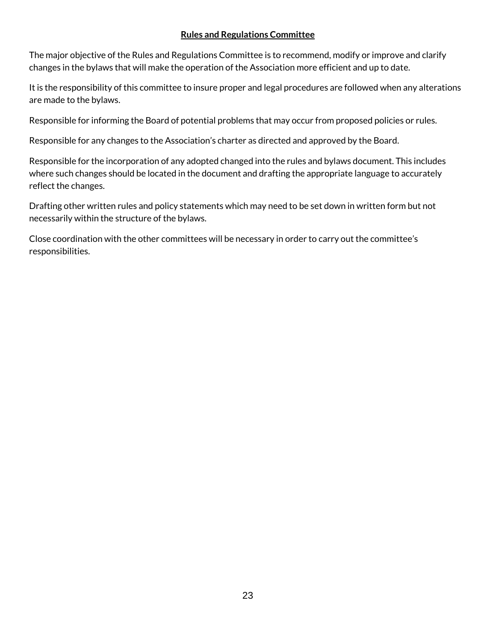#### **Rules and Regulations Committee**

The major objective of the Rules and Regulations Committee is to recommend, modify or improve and clarify changes in the bylaws that will make the operation of the Association more efficient and up to date.

It is the responsibility of this committee to insure proper and legal procedures are followed when any alterations are made to the bylaws.

Responsible for informing the Board of potential problems that may occur from proposed policies or rules.

Responsible for any changes to the Association's charter as directed and approved by the Board.

Responsible for the incorporation of any adopted changed into the rules and bylaws document. This includes where such changes should be located in the document and drafting the appropriate language to accurately reflect the changes.

Drafting other written rules and policy statements which may need to be set down in written form but not necessarily within the structure of the bylaws.

Close coordination with the other committees will be necessary in order to carry out the committee's responsibilities.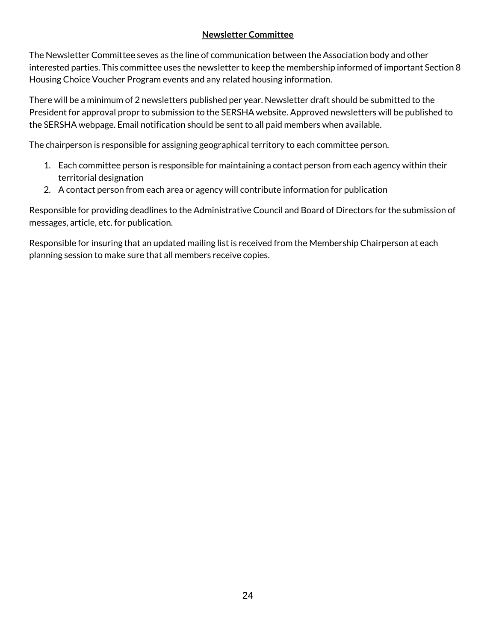# **Newsletter Committee**

The Newsletter Committee seves as the line of communication between the Association body and other interested parties. This committee uses the newsletter to keep the membership informed of important Section 8 Housing Choice Voucher Program events and any related housing information.

There will be a minimum of 2 newsletters published per year. Newsletter draft should be submitted to the President for approval propr to submission to the SERSHA website. Approved newsletters will be published to the SERSHA webpage. Email notification should be sent to all paid members when available.

The chairperson is responsible for assigning geographical territory to each committee person.

- 1. Each committee person is responsible for maintaining a contact person from each agency within their territorial designation
- 2. A contact person from each area or agency will contribute information for publication

Responsible for providing deadlines to the Administrative Council and Board of Directors for the submission of messages, article, etc. for publication.

Responsible for insuring that an updated mailing list is received from the Membership Chairperson at each planning session to make sure that all members receive copies.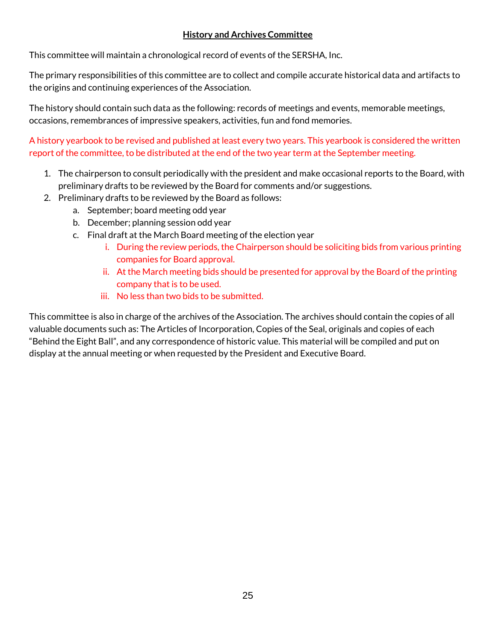# **History and Archives Committee**

This committee will maintain a chronological record of events of the SERSHA, Inc.

The primary responsibilities of this committee are to collect and compile accurate historical data and artifacts to the origins and continuing experiences of the Association.

The history should contain such data as the following: records of meetings and events, memorable meetings, occasions, remembrances of impressive speakers, activities, fun and fond memories.

A history yearbook to be revised and published at least every two years. This yearbook is considered the written report of the committee, to be distributed at the end of the two year term at the September meeting.

- 1. The chairperson to consult periodically with the president and make occasional reports to the Board, with preliminary drafts to be reviewed by the Board for comments and/or suggestions.
- 2. Preliminary drafts to be reviewed by the Board as follows:
	- a. September; board meeting odd year
	- b. December; planning session odd year
	- c. Final draft at the March Board meeting of the election year
		- i. During the review periods, the Chairperson should be soliciting bids from various printing companies for Board approval.
		- ii. At the March meeting bids should be presented for approval by the Board of the printing company that is to be used.
		- iii. No less than two bids to be submitted.

This committee is also in charge of the archives of the Association. The archives should contain the copies of all valuable documents such as: The Articles of Incorporation, Copies of the Seal, originals and copies of each "Behind the Eight Ball", and any correspondence of historic value. This material will be compiled and put on display at the annual meeting or when requested by the President and Executive Board.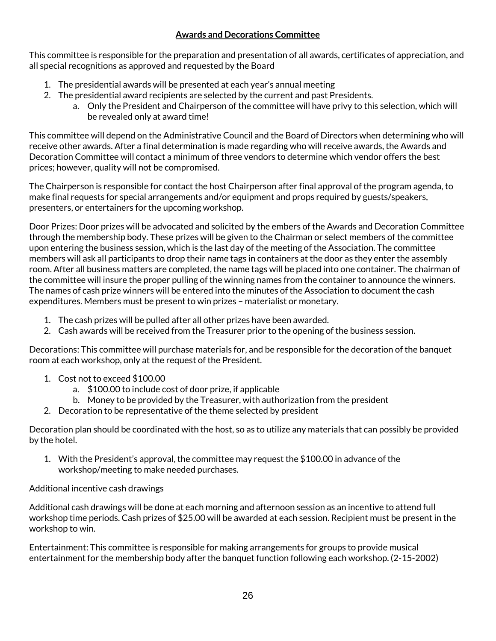### **Awards and Decorations Committee**

This committee is responsible for the preparation and presentation of all awards, certificates of appreciation, and all special recognitions as approved and requested by the Board

- 1. The presidential awards will be presented at each year's annual meeting
- 2. The presidential award recipients are selected by the current and past Presidents.
	- a. Only the President and Chairperson of the committee will have privy to this selection, which will be revealed only at award time!

This committee will depend on the Administrative Council and the Board of Directors when determining who will receive other awards. After a final determination is made regarding who will receive awards, the Awards and Decoration Committee will contact a minimum of three vendors to determine which vendor offers the best prices; however, quality will not be compromised.

The Chairperson is responsible for contact the host Chairperson after final approval of the program agenda, to make final requests for special arrangements and/or equipment and props required by guests/speakers, presenters, or entertainers for the upcoming workshop.

Door Prizes: Door prizes will be advocated and solicited by the embers of the Awards and Decoration Committee through the membership body. These prizes will be given to the Chairman or select members of the committee upon entering the business session, which is the last day of the meeting of the Association. The committee members will ask all participants to drop their name tags in containers at the door as they enter the assembly room. After all business matters are completed, the name tags will be placed into one container. The chairman of the committee will insure the proper pulling of the winning names from the container to announce the winners. The names of cash prize winners will be entered into the minutes of the Association to document the cash expenditures. Members must be present to win prizes – materialist or monetary.

- 1. The cash prizes will be pulled after all other prizes have been awarded.
- 2. Cash awards will be received from the Treasurer prior to the opening of the business session.

Decorations: This committee will purchase materials for, and be responsible for the decoration of the banquet room at each workshop, only at the request of the President.

- 1. Cost not to exceed \$100.00
	- a. \$100.00 to include cost of door prize, if applicable
	- b. Money to be provided by the Treasurer, with authorization from the president
- 2. Decoration to be representative of the theme selected by president

Decoration plan should be coordinated with the host, so as to utilize any materials that can possibly be provided by the hotel.

1. With the President's approval, the committee may request the \$100.00 in advance of the workshop/meeting to make needed purchases.

### Additional incentive cash drawings

Additional cash drawings will be done at each morning and afternoon session as an incentive to attend full workshop time periods. Cash prizes of \$25.00 will be awarded at each session. Recipient must be present in the workshop to win.

Entertainment: This committee is responsible for making arrangements for groups to provide musical entertainment for the membership body after the banquet function following each workshop. (2-15-2002)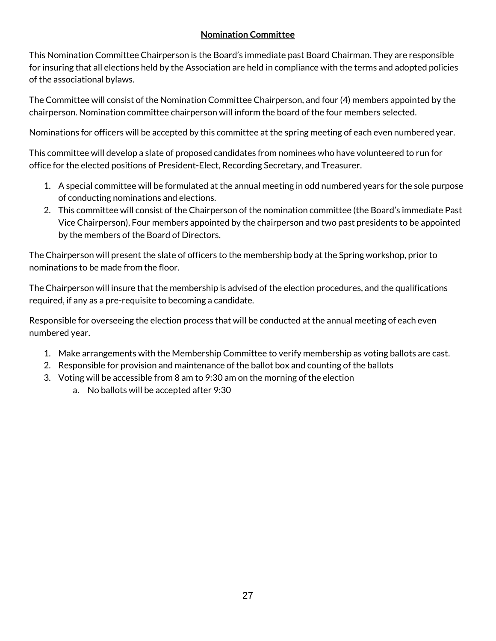# **Nomination Committee**

This Nomination Committee Chairperson is the Board's immediate past Board Chairman. They are responsible for insuring that all elections held by the Association are held in compliance with the terms and adopted policies of the associational bylaws.

The Committee will consist of the Nomination Committee Chairperson, and four (4) members appointed by the chairperson. Nomination committee chairperson will inform the board of the four members selected.

Nominations for officers will be accepted by this committee at the spring meeting of each even numbered year.

This committee will develop a slate of proposed candidates from nominees who have volunteered to run for office for the elected positions of President-Elect, Recording Secretary, and Treasurer.

- 1. A special committee will be formulated at the annual meeting in odd numbered years for the sole purpose of conducting nominations and elections.
- 2. This committee will consist of the Chairperson of the nomination committee (the Board's immediate Past Vice Chairperson), Four members appointed by the chairperson and two past presidents to be appointed by the members of the Board of Directors.

The Chairperson will present the slate of officers to the membership body at the Spring workshop, prior to nominations to be made from the floor.

The Chairperson will insure that the membership is advised of the election procedures, and the qualifications required, if any as a pre-requisite to becoming a candidate.

Responsible for overseeing the election process that will be conducted at the annual meeting of each even numbered year.

- 1. Make arrangements with the Membership Committee to verify membership as voting ballots are cast.
- 2. Responsible for provision and maintenance of the ballot box and counting of the ballots
- 3. Voting will be accessible from 8 am to 9:30 am on the morning of the election
	- a. No ballots will be accepted after 9:30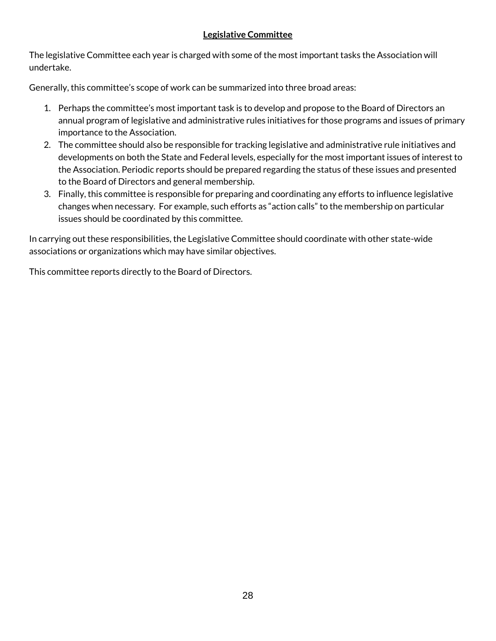### **Legislative Committee**

The legislative Committee each year is charged with some of the most important tasks the Association will undertake.

Generally, this committee's scope of work can be summarized into three broad areas:

- 1. Perhaps the committee's most important task is to develop and propose to the Board of Directors an annual program of legislative and administrative rules initiatives for those programs and issues of primary importance to the Association.
- 2. The committee should also be responsible for tracking legislative and administrative rule initiatives and developments on both the State and Federal levels, especially for the most important issues of interest to the Association. Periodic reports should be prepared regarding the status of these issues and presented to the Board of Directors and general membership.
- 3. Finally, this committee is responsible for preparing and coordinating any efforts to influence legislative changes when necessary. For example, such efforts as "action calls" to the membership on particular issues should be coordinated by this committee.

In carrying out these responsibilities, the Legislative Committee should coordinate with other state-wide associations or organizations which may have similar objectives.

This committee reports directly to the Board of Directors.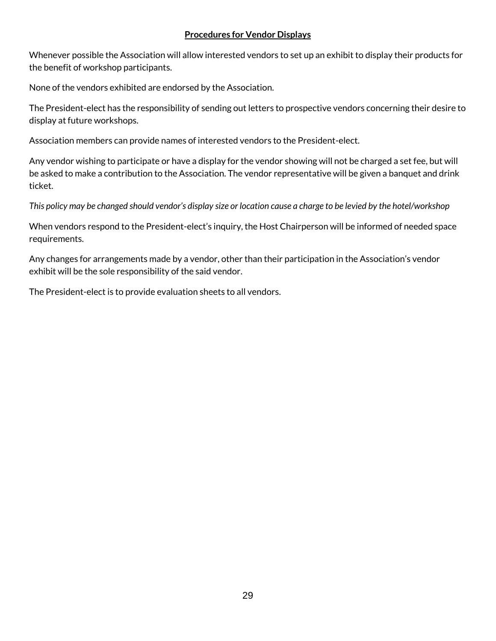#### **Procedures for Vendor Displays**

Whenever possible the Association will allow interested vendors to set up an exhibit to display their products for the benefit of workshop participants.

None of the vendors exhibited are endorsed by the Association.

The President-elect has the responsibility of sending out letters to prospective vendors concerning their desire to display at future workshops.

Association members can provide names of interested vendors to the President-elect.

Any vendor wishing to participate or have a display for the vendor showing will not be charged a set fee, but will be asked to make a contribution to the Association. The vendor representative will be given a banquet and drink ticket.

*This policy may be changed should vendor's display size or location cause a charge to be levied by the hotel/workshop*

When vendors respond to the President-elect's inquiry, the Host Chairperson will be informed of needed space requirements.

Any changes for arrangements made by a vendor, other than their participation in the Association's vendor exhibit will be the sole responsibility of the said vendor.

The President-elect is to provide evaluation sheets to all vendors.